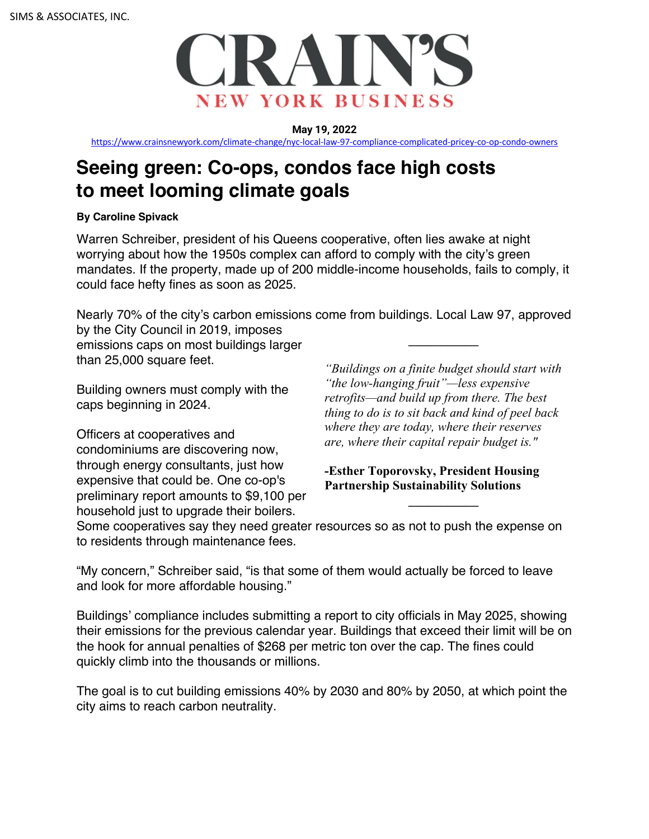

**May 19, 2022**

https://www.crainsnewyork.com/climate-change/nyc-local-law-97-compliance-complicated-pricey-co-op-condo-owners

# **Seeing green: Co-ops, condos face high costs to meet looming climate goals**

## **By Caroline Spivack**

Warren Schreiber, president of his Queens cooperative, often lies awake at night worrying about how the 1950s complex can afford to comply with the city's green mandates. If the property, made up of 200 middle-income households, fails to comply, it could face hefty fines as soon as 2025.

Nearly 70% of the city's carbon emissions come from buildings. Local Law 97, approved by the City Council in 2019, imposes *\_\_\_\_\_\_\_\_\_\_\_*

emissions caps on most buildings larger than 25,000 square feet.

Building owners must comply with the caps beginning in 2024.

Officers at cooperatives and condominiums are discovering now, through energy consultants, just how expensive that could be. One co-op's preliminary report amounts to \$9,100 per household just to upgrade their boilers.

*"Buildings on a finite budget should start with "the low-hanging fruit"—less expensive retrofits—and build up from there. The best thing to do is to sit back and kind of peel back where they are today, where their reserves are, where their capital repair budget is."*

**-Esther Toporovsky, President Housing Partnership Sustainability Solutions**

*\_\_\_\_\_\_\_\_\_\_\_*

Some cooperatives say they need greater resources so as not to push the expense on to residents through maintenance fees.

"My concern," Schreiber said, "is that some of them would actually be forced to leave and look for more affordable housing."

Buildings' compliance includes submitting a report to city officials in May 2025, showing their emissions for the previous calendar year. Buildings that exceed their limit will be on the hook for annual penalties of \$268 per metric ton over the cap. The fines could quickly climb into the thousands or millions.

The goal is to cut building emissions 40% by 2030 and 80% by 2050, at which point the city aims to reach carbon neutrality.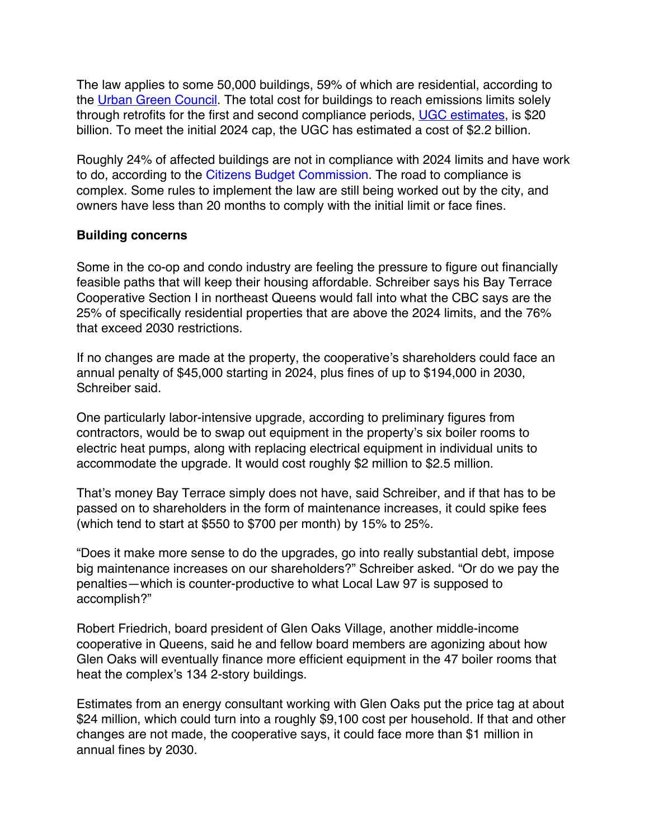The law applies to some 50,000 buildings, 59% of which are residential, according to the Urban Green Council. The total cost for buildings to reach emissions limits solely through retrofits for the first and second compliance periods, UGC estimates, is \$20 billion. To meet the initial 2024 cap, the UGC has estimated a cost of \$2.2 billion.

Roughly 24% of affected buildings are not in compliance with 2024 limits and have work to do, according to the Citizens Budget Commission. The road to compliance is complex. Some rules to implement the law are still being worked out by the city, and owners have less than 20 months to comply with the initial limit or face fines.

## **Building concerns**

Some in the co-op and condo industry are feeling the pressure to figure out financially feasible paths that will keep their housing affordable. Schreiber says his Bay Terrace Cooperative Section I in northeast Queens would fall into what the CBC says are the 25% of specifically residential properties that are above the 2024 limits, and the 76% that exceed 2030 restrictions.

If no changes are made at the property, the cooperative's shareholders could face an annual penalty of \$45,000 starting in 2024, plus fines of up to \$194,000 in 2030, Schreiber said.

One particularly labor-intensive upgrade, according to preliminary figures from contractors, would be to swap out equipment in the property's six boiler rooms to electric heat pumps, along with replacing electrical equipment in individual units to accommodate the upgrade. It would cost roughly \$2 million to \$2.5 million.

That's money Bay Terrace simply does not have, said Schreiber, and if that has to be passed on to shareholders in the form of maintenance increases, it could spike fees (which tend to start at \$550 to \$700 per month) by 15% to 25%.

"Does it make more sense to do the upgrades, go into really substantial debt, impose big maintenance increases on our shareholders?" Schreiber asked. "Or do we pay the penalties—which is counter-productive to what Local Law 97 is supposed to accomplish?"

Robert Friedrich, board president of Glen Oaks Village, another middle-income cooperative in Queens, said he and fellow board members are agonizing about how Glen Oaks will eventually finance more efficient equipment in the 47 boiler rooms that heat the complex's 134 2-story buildings.

Estimates from an energy consultant working with Glen Oaks put the price tag at about \$24 million, which could turn into a roughly \$9,100 cost per household. If that and other changes are not made, the cooperative says, it could face more than \$1 million in annual fines by 2030.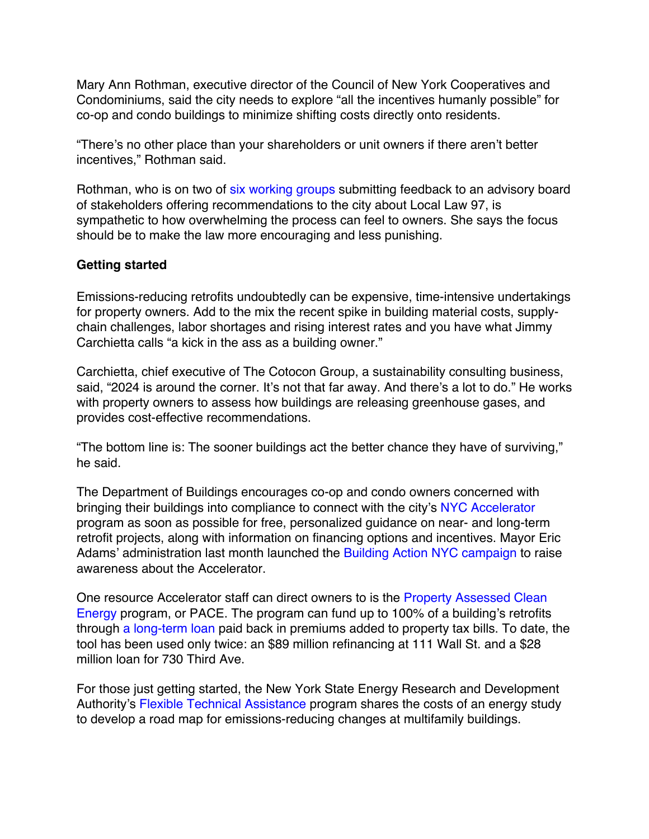Mary Ann Rothman, executive director of the Council of New York Cooperatives and Condominiums, said the city needs to explore "all the incentives humanly possible" for co-op and condo buildings to minimize shifting costs directly onto residents.

"There's no other place than your shareholders or unit owners if there aren't better incentives," Rothman said.

Rothman, who is on two of six working groups submitting feedback to an advisory board of stakeholders offering recommendations to the city about Local Law 97, is sympathetic to how overwhelming the process can feel to owners. She says the focus should be to make the law more encouraging and less punishing.

## **Getting started**

Emissions-reducing retrofits undoubtedly can be expensive, time-intensive undertakings for property owners. Add to the mix the recent spike in building material costs, supplychain challenges, labor shortages and rising interest rates and you have what Jimmy Carchietta calls "a kick in the ass as a building owner."

Carchietta, chief executive of The Cotocon Group, a sustainability consulting business, said, "2024 is around the corner. It's not that far away. And there's a lot to do." He works with property owners to assess how buildings are releasing greenhouse gases, and provides cost-effective recommendations.

"The bottom line is: The sooner buildings act the better chance they have of surviving," he said.

The Department of Buildings encourages co-op and condo owners concerned with bringing their buildings into compliance to connect with the city's NYC Accelerator program as soon as possible for free, personalized guidance on near- and long-term retrofit projects, along with information on financing options and incentives. Mayor Eric Adams' administration last month launched the Building Action NYC campaign to raise awareness about the Accelerator.

One resource Accelerator staff can direct owners to is the Property Assessed Clean Energy program, or PACE. The program can fund up to 100% of a building's retrofits through a long-term loan paid back in premiums added to property tax bills. To date, the tool has been used only twice: an \$89 million refinancing at 111 Wall St. and a \$28 million loan for 730 Third Ave.

For those just getting started, the New York State Energy Research and Development Authority's Flexible Technical Assistance program shares the costs of an energy study to develop a road map for emissions-reducing changes at multifamily buildings.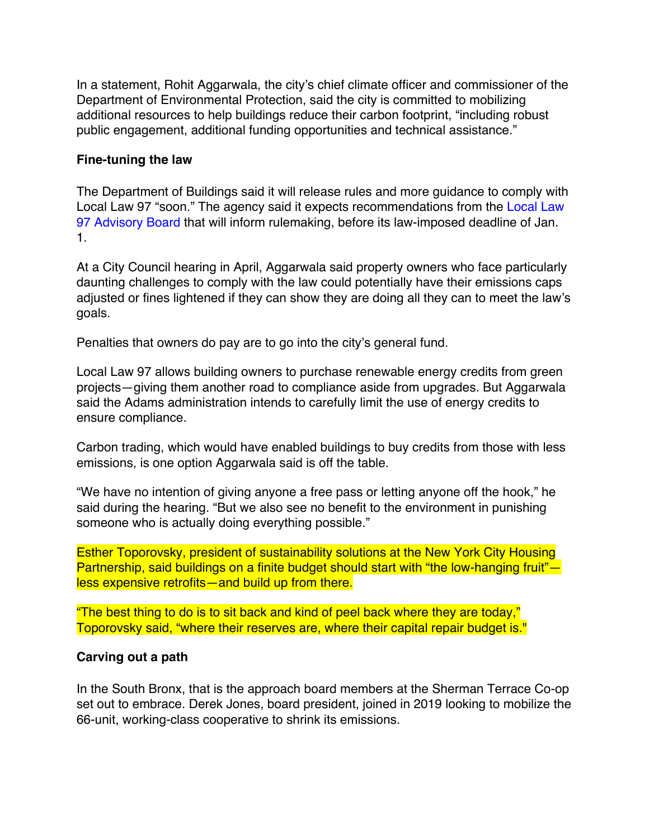In a statement, Rohit Aggarwala, the city's chief climate officer and commissioner of the Department of Environmental Protection, said the city is committed to mobilizing additional resources to help buildings reduce their carbon footprint, "including robust public engagement, additional funding opportunities and technical assistance."

#### **Fine-tuning the law**

The Department of Buildings said it will release rules and more guidance to comply with Local Law 97 "soon." The agency said it expects recommendations from the Local Law 97 Advisory Board that will inform rulemaking, before its law-imposed deadline of Jan. 1.

At a City Council hearing in April, Aggarwala said property owners who face particularly daunting challenges to comply with the law could potentially have their emissions caps adjusted or fines lightened if they can show they are doing all they can to meet the law's goals.

Penalties that owners do pay are to go into the city's general fund.

Local Law 97 allows building owners to purchase renewable energy credits from green projects—giving them another road to compliance aside from upgrades. But Aggarwala said the Adams administration intends to carefully limit the use of energy credits to ensure compliance.

Carbon trading, which would have enabled buildings to buy credits from those with less emissions, is one option Aggarwala said is off the table.

"We have no intention of giving anyone a free pass or letting anyone off the hook," he said during the hearing. "But we also see no benefit to the environment in punishing someone who is actually doing everything possible."

Esther Toporovsky, president of sustainability solutions at the New York City Housing Partnership, said buildings on a finite budget should start with "the low-hanging fruit" less expensive retrofits—and build up from there.

"The best thing to do is to sit back and kind of peel back where they are today," Toporovsky said, "where their reserves are, where their capital repair budget is."

## **Carving out a path**

In the South Bronx, that is the approach board members at the Sherman Terrace Co-op set out to embrace. Derek Jones, board president, joined in 2019 looking to mobilize the 66-unit, working-class cooperative to shrink its emissions.